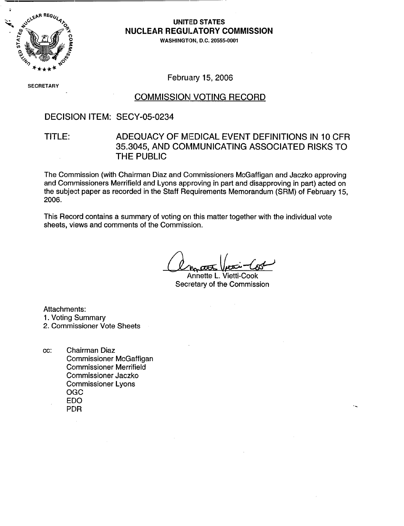

# **NUCLEAR REGULATORY COMMISSION**

WASHINGTON, D.C. 20555-0001

**SECRETARY** 

February 15, 2006

#### COMMISSION VOTING RECORD

#### DECISION ITEM: SECY-05-0234

# TITLE: ADEQUACY OF MEDICAL EVENT DEFINITIONS IN 10 CFR 35.3045, AND COMMUNICATING ASSOCIATED RISKS TO THE PUBLIC

The Commission (with Chairman Diaz and Commissioners McGaffigan and Jaczko approving and Commissioners Merrifield and Lyons approving in part and disapproving in part) acted on the subject paper as recorded in the Staff Requirements Memorandum (SRM) of February 15, 2006.

This Record contains a summary of voting on this matter together with the individual vote sheets, views and comments of the Commission.

Annette L. Vietti-Cook Secretary of the Commission

Attachments: 1. Voting Summary 2. Commissioner Vote Sheets

cc: Chairman Diaz Commissioner McGaffigan Commissioner Merrifield Commissioner Jaczko Commissioner Lyons OGC EDO PDR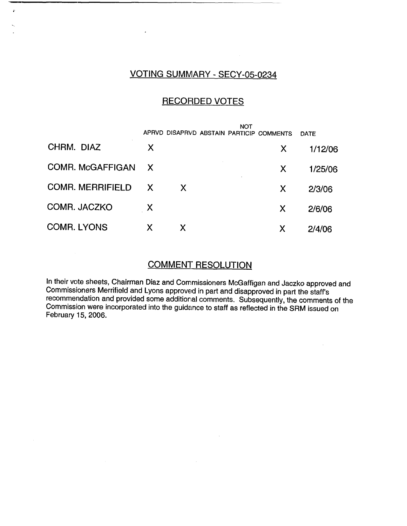# VOTING SUMMARY - SECY-05-0234

### RECORDED VOTES

|                         |              |    | NOT | APRVD DISAPRVD ABSTAIN PARTICIP COMMENTS | DATE    |
|-------------------------|--------------|----|-----|------------------------------------------|---------|
| CHRM. DIAZ              | X            |    |     | X                                        | 1/12/06 |
| <b>COMR. McGAFFIGAN</b> | $\mathsf{X}$ |    |     | X                                        | 1/25/06 |
| <b>COMR. MERRIFIELD</b> | X            | X. |     | X                                        | 2/3/06  |
| COMR. JACZKO            | X            |    |     | X                                        | 2/6/06  |
| <b>COMR. LYONS</b>      | X            |    |     | Х                                        | 2/4/06  |

# COMMENT RESOLUTION

In their vote sheets, Chairman Diaz and Commissioners McGaffigan and Jaczko approved and Commissioners Merrifield and Lyons approved in part and disapproved in part the staff's recommendation and provided some additional comments. Subsequently, the comments of the Commission were incorporated into the guidance to staff as reflected in the SRM issued on February 15, 2006.

 $\sim$   $\epsilon$ 

 $\sim$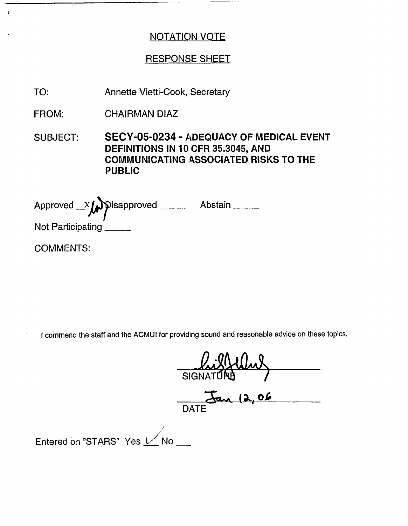# RESPONSE SHEET

Annette Vietti-Cook, Secretary TO:

CHAIRMAN DIAZ FROM:

SUBJECT: **SECY-05-0234** - **ADEQUACY OF MEDICAL EVENT** DEFINITIONS IN 10 CFR 35.3045, AND **COMMUNICATING ASSOCIATED RISKS TO THE** PUBLIC

Approved  $X$   $\bigcup$  pisapproved \_\_\_\_\_\_\_\_ Abstair Not Participating

COMMENTS:

I commend the staff and the ACMUI for providing sound and reasonable advice on these topics.

SIGNATE

DATE

Entered on "STARS" Yes  $\nu$ No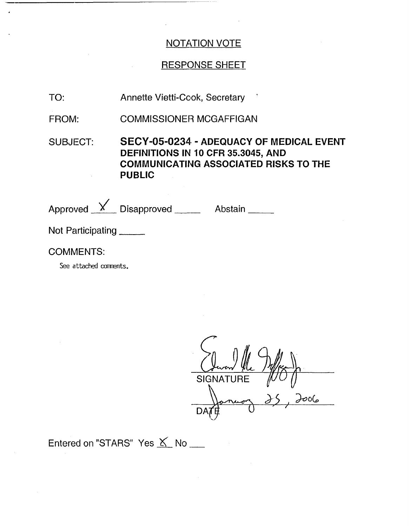# RESPONSE SHEET

- TO: Annette Vietti-Cook, Secretary
- FROM: COMMISSIONER MCGAFFIGAN
- SUBJECT: SECY-05-0234 ADEQUACY OF MEDICAL EVENT DEFINITIONS IN 10 CFR 35.3045, AND COMMUNICATING ASSOCIATED RISKS TO THE PUBLIC

| Approved $X$ Disapproved ______ | Abstain |
|---------------------------------|---------|
| Not Participating               |         |

# COMMENTS:

See attached comments.

(Juan 1/1 ) you **SIGNATURE** ص٥٥ DA *1i4*

Entered on "STARS" Yes  $K$  No  $\blacksquare$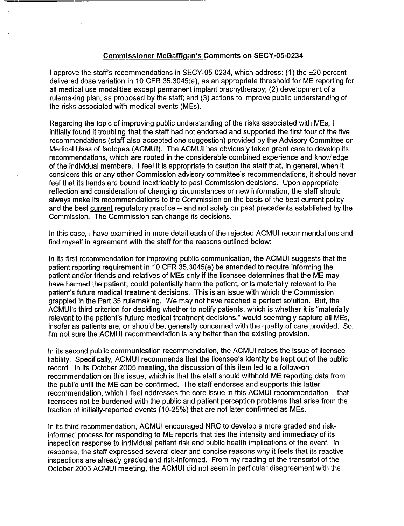#### Commissioner McGafficin's Comments on SECY-05-0234

I approve the staff's recommendations in SECY-05-0234, which address: (1) the ±20 percent delivered dose variation in 10 CFR 35.3045(a), as an appropriate threshold for ME reporting for all medical use modalities except permanent implant brachytherapy; (2) development of a rulemaking plan, as proposed by the staff; and (3) actions to improve public understanding of the risks associated with medical events (MEs).

Regarding the topic of improving public understanding of the risks associated with MEs, I initially found it troubling that the staff had not endorsed and supported the first four of the five recommendations (staff also accepted one suggestion) provided by the Advisory Committee on Medical Uses of Isotopes (ACMUI). The ACMUI has obviously taken great care to develop its recommendations, which are rooted in the considerable combined experience and knowledge of the individual members. I feel it is appropriate to caution the staff that, in general, when it considers this or any other Commission advisory committee's recommendations, it should never feel that its hands are bound inextricably to past Commission decisions. Upon appropriate reflection and consideration of changing circumstances or new information, the staff should always make its recommendations to the Commission on the basis of the best current policy and the best current regulatory practice -- and not solely on past precedents established by the Commission. The Commission can change its decisions.

In this case, I have examined in more detail each of the rejected ACMUI recommendations and find myself in agreement with the staff for the reasons outlined below:

In its first recommendation for improving public communication, the ACMUI suggests that the patient reporting requirement in 10 CFR 35.:3045(e) be amended to require informing the patient and/or friends and relatives of MEs only if the licensee determines that the ME may have harmed the patient, could potentially harm the patient, or is materially relevant to the patient's future medical treatment decisions. This is an issue with which the Commission grappled in the Part 35 rulemaking. We may not have reached a perfect solution. But, the ACMUI's third criterion for deciding whether to notify patients, which is whether it is "materially relevant to the patient's future medical treatment decisions," would seemingly capture all MEs, insofar as patients are, or should be, generally concerned with the quality of care provided. So, I'm not sure the ACMUI recommendation is any better than the existing provision.

In its second public communication recommendation, the ACMUI raises the issue of licensee liability. Specifically, ACMUI recommends that the licensee's identity be kept out of the public record. In its October 2005 meeting, the discussion of this item led to a follow-on recommendation on this issue, which is that the staff should withhold ME reporting data from the public until the ME can be confirmed. The staff endorses and supports this latter recommendation, which I feel addresses the core issue in this ACMUI recommendation -- that licensees not be burdened with the public and patient perception problems that arise from the fraction of initially-reported events (10-25%) that are not later confirmed as MEs.

In its third recommendation, ACMUI encouraged NRC to develop a more graded and riskinformed process for responding to ME reports that ties the intensity and immediacy of its inspection response to individual patient risk and public health implications of the event. In response, the staff expressed several clear and concise reasons why it feels that its reactive inspections are already graded and risk-informed. From my reading of the transcript of the October 2005 ACMUI meeting, the ACMUI did not seem in particular disagreement with the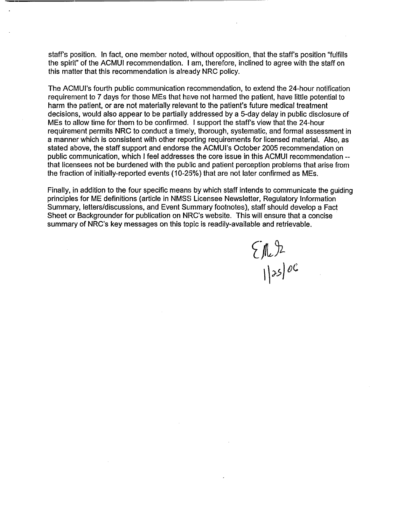staff's position. In fact, one member noted, without opposition, that the staff's position "fulfills the spirit" of the ACMUI recommendation. I am, therefore, inclined to agree with the staff on this matter that this recommendation is already NRC policy.

The ACMUl's fourth public communication recommendation, to extend the 24-hour notification requirement to 7 days for those MEs that have not harmed the patient, have little potential to harm the patient, or are not materially relevant to the patient's future medical treatment decisions, would also appear to be partially addressed by a 5-day delay in public disclosure of MEs to allow time for them to be confirmed. I support the staff's view that the 24-hour requirement permits NRC to conduct a timely, thorough, systematic, and formal assessment in a manner which is consistent with other reporting requirements for licensed material. Also, as stated above, the staff support and endorse the ACMUl's October 2005 recommendation on public communication, which I feel addresses the core issue in this ACMUI recommendation - that licensees not be burdened with the public and patient perception problems that arise from the fraction of initially-reported events (10-25%) that are not later confirmed as MEs.

Finally, in addition to the four specific means by which staff intends to communicate the guiding principles for ME definitions (article in NMS'S Licensee Newsletter, Regulatory Information Summary, letters/discussions, and Event Summary footnotes), staff should develop a Fact Sheet or Backgrounder for publication on NRC's website. This will ensure that a concise summary of NRC's key messages on this topic is readily-available and retrievable.

 $\left\{\begin{matrix} 1 & 0 \\ 0 & 0 \end{matrix}\right\}$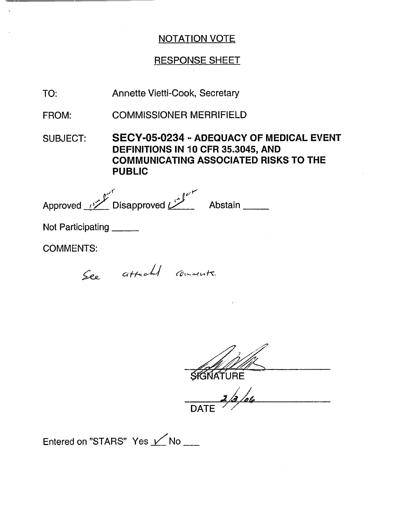### RESPONSE SHEET

Annette Vietti-Cook, Secretary TO:

COMMISSIONER MERRIFIELD FROM:

SUBJECT: **SECY-05-0234 \*- ADEQUACY OF MEDICAL EVENT** DEFINITIONS IN 10 CFR 35.3045, AND **COMMUNICATING ASSOCIATED RISKS TO THE** PUBLIC

Approved <u>V</u> Disapproved **D** Abstain

Not Participating

COMMENTS:

See attached comments.

SIGNATURE

DATE  $\angle$ 

Entered on "STARS" Yes  $\nu$  No \_\_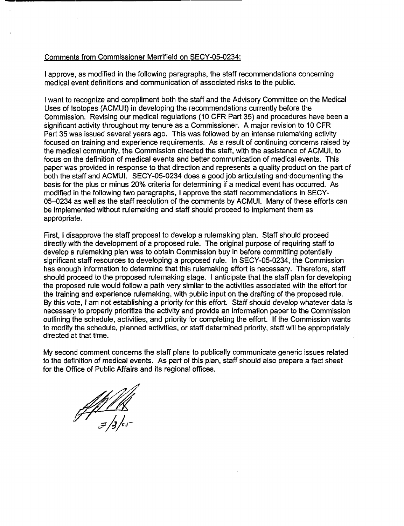#### Comments from Commissioner Merrifield on SECY-05-0234:

I approve, as modified in the following paragraphs, the staff recommendations concerning medical event definitions and communication of associated risks to the public.

I want to recognize and compliment both the staff and the Advisory Committee on the Medical Uses of Isotopes (ACMUI) in developing the recommendations currently before the Commission. Revising our medical regulations (10 CFR Part 35) and procedures have been a significant activity throughout my tenure as a Commissioner. A major revision to 10 CFR Part 35 was issued several years ago. This was followed by an intense rulemaking activity focused on training and experience requirements. As a result of continuing concerns raised by the medical community, the Commission directed the staff, with the assistance of ACMUI, to focus on the definition of medical events and better communication of medical events. This paper was provided in response to that direction and represents a quality product on the part of both the staff and ACMUI. SECY-05-0234 does a good job articulating and documenting the basis for the plus or minus 20% criteria for determining if a medical event has occurred. As modified in the following two paragraphs, I approve the staff recommendations in SECY-05-0234 as well as the staff resolution of the comments by ACMUI. Many of these efforts can be implemented without rulemaking and staff should proceed to implement them as appropriate.

First, I disapprove the staff proposal to develop a rulemaking plan. Staff should proceed directly with the development of a proposed rule. The original purpose of requiring staff to develop a rulemaking plan was to obtain Commission buy in before committing potentially significant staff resources to developing a proposed rule. In SECY-05-0234, the Commission has enough information to determine that this rulemaking effort is necessary. Therefore, staff should proceed to the proposed rulemaking stage. I anticipate that the staff plan for developing the proposed rule would follow a path very similar to the activities associated with the effort for the training and experience rulemaking, with public input on the drafting of the proposed rule. By this vote, I am not establishing a priority for this effort. Staff should develop whatever data is necessary to properly prioritize the activity and provide an information paper to the Commission outlining the schedule, activities, and priority for completing the effort. If the Commission wants to modify the schedule, planned activities, or staff determined priority, staff will be appropriately directed at that time.

My second comment concerns the staff plans to publically communicate generic issues related to the definition of medical events. As part of this plan, staff should also prepare a fact sheet for the Office of Public Affairs and its regional offices.

 $\frac{1}{3}$ /3/05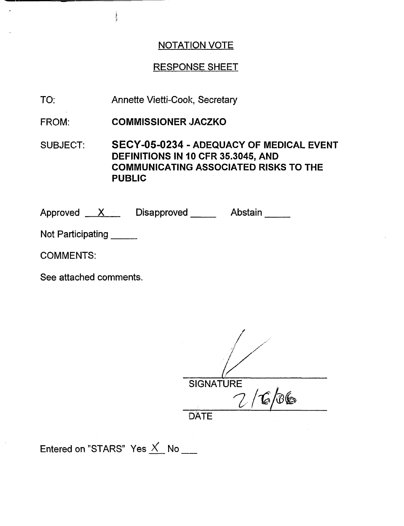# RESPONSE SHEET

TO: Annette Vietti-Cook, Secretary

FROM: COMMISSIONER JACZKO

SUBJECT: SECY-05-0234 - ADEQUACY OF MEDICAL EVENT DEFINITIONS IN 10 CFR 35.3045, AND COMMUNICATING ASSOCIATED RISKS TO THE PUBLIC

Approved <u>X D</u>isapproved Abstain

Not Participating

COMMENTS:

See attached comments.

| <b>SIGNATURE</b> |
|------------------|
| $^{\prime}$ 6/06 |
| <b>DATE</b>      |

Entered on "STARS" Yes  $X$  No  $\_\_\_\_\$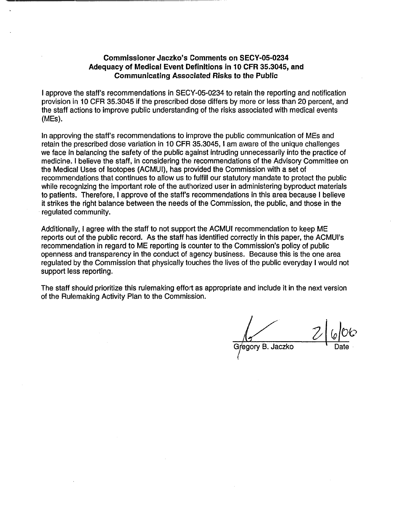#### **Commissioner Jaczko's Comments on SECY-05-0234 Adequacy of Medical Event Definitions in 10 CFR 35.3045, and Communicating Associated Risks to the Public**

I approve the staff's recommendations in SECY-05-0234 to retain the reporting and notification provision in 10 CFR 35.3045 if the prescribed dose differs by more or less than 20 percent, and the staff actions to improve public understanding of the risks associated with medical events (MEs).

In approving the staff's recommendations to improve the public communication of MEs and retain the prescribed dose variation in 10 CFR 35.3045, I am aware of the unique challenges we face in balancing the safety of the public against intruding unnecessarily into the practice of medicine. I believe the staff, in considering the recommendations of the Advisory Committee on the Medical Uses of Isotopes (ACMUI), has provided the Commission with a set of recommendations that continues to allow us to fulfill our statutory mandate to protect the public while recognizing the important role of the authorized user in administering byproduct materials to patients. Therefore, I approve of the staff's recommendations in this area because I believe it strikes the right balance between the needs of the Commission, the public, and those in the regulated community.

Additionally, I agree with the staff to not support the ACMUI recommendation to keep ME reports out of the public record. As the staff has identified correctly in this paper, the ACMUI's recommendation in regard to ME reporting is counter to the Commission's policy of public openness and transparency in the conduct of agency business. Because this is the one area regulated by the Commission that physically touches the lives of the public everyday I would not support less reporting.

The staff should prioritize this rulemaking effort as appropriate and include it in the next version of the Rulemaking Activity Plan to the Commission.

egory B. Jaczko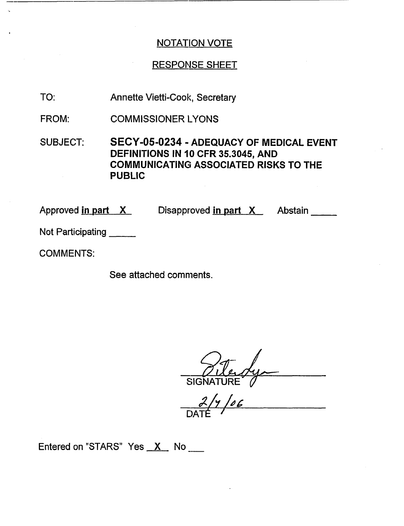# RESPONSE SHEET

- Annette Vietti-Cook, Secretary TO:
- COMMISSIONER lYONS FROM:
- SUBJECT: **SECY-05-0234 ADEQUACY OF** MEDICAL EVENT DEFINITIONS IN **10** CFR 35.3045, AND COMMUNICATING ASSOCIATED RISKS TO THE PUBLIC

Approved <u>in part X</u> Disapproved <u>in part X</u> Abstain

Not Participating

COMMENTS:

See attached comments.

SIGNATURE

DAT

Entered on "STARS" Yes  $X$  No  $\_\_\_\_\$